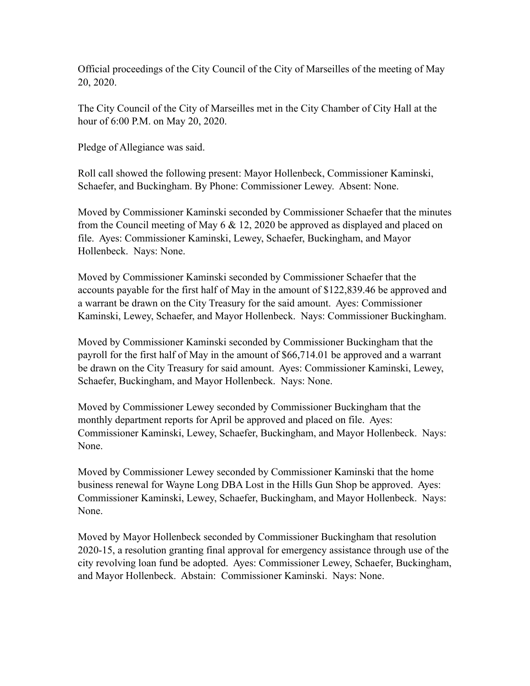Official proceedings of the City Council of the City of Marseilles of the meeting of May 20, 2020.

The City Council of the City of Marseilles met in the City Chamber of City Hall at the hour of 6:00 P.M. on May 20, 2020.

Pledge of Allegiance was said.

Roll call showed the following present: Mayor Hollenbeck, Commissioner Kaminski, Schaefer, and Buckingham. By Phone: Commissioner Lewey. Absent: None.

Moved by Commissioner Kaminski seconded by Commissioner Schaefer that the minutes from the Council meeting of May 6 & 12, 2020 be approved as displayed and placed on file. Ayes: Commissioner Kaminski, Lewey, Schaefer, Buckingham, and Mayor Hollenbeck. Nays: None.

Moved by Commissioner Kaminski seconded by Commissioner Schaefer that the accounts payable for the first half of May in the amount of \$122,839.46 be approved and a warrant be drawn on the City Treasury for the said amount. Ayes: Commissioner Kaminski, Lewey, Schaefer, and Mayor Hollenbeck. Nays: Commissioner Buckingham.

Moved by Commissioner Kaminski seconded by Commissioner Buckingham that the payroll for the first half of May in the amount of \$66,714.01 be approved and a warrant be drawn on the City Treasury for said amount. Ayes: Commissioner Kaminski, Lewey, Schaefer, Buckingham, and Mayor Hollenbeck. Nays: None.

Moved by Commissioner Lewey seconded by Commissioner Buckingham that the monthly department reports for April be approved and placed on file. Ayes: Commissioner Kaminski, Lewey, Schaefer, Buckingham, and Mayor Hollenbeck. Nays: None.

Moved by Commissioner Lewey seconded by Commissioner Kaminski that the home business renewal for Wayne Long DBA Lost in the Hills Gun Shop be approved. Ayes: Commissioner Kaminski, Lewey, Schaefer, Buckingham, and Mayor Hollenbeck. Nays: None.

Moved by Mayor Hollenbeck seconded by Commissioner Buckingham that resolution 2020-15, a resolution granting final approval for emergency assistance through use of the city revolving loan fund be adopted. Ayes: Commissioner Lewey, Schaefer, Buckingham, and Mayor Hollenbeck. Abstain: Commissioner Kaminski. Nays: None.